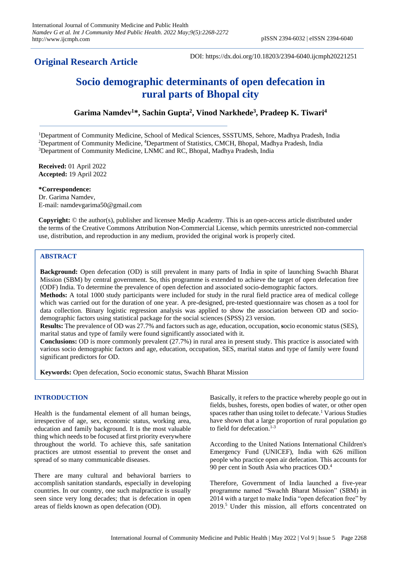# **Original Research Article**

DOI: https://dx.doi.org/10.18203/2394-6040.ijcmph20221251

# **Socio demographic determinants of open defecation in rural parts of Bhopal city**

# **Garima Namdev<sup>1</sup>\*, Sachin Gupta<sup>2</sup> , Vinod Narkhede<sup>3</sup> , Pradeep K. Tiwari<sup>4</sup>**

<sup>1</sup>Department of Community Medicine, School of Medical Sciences, SSSTUMS, Sehore, Madhya Pradesh, India <sup>2</sup>Department of Community Medicine, <sup>4</sup>Department of Statistics, CMCH, Bhopal, Madhya Pradesh, India <sup>3</sup>Department of Community Medicine, LNMC and RC, Bhopal, Madhya Pradesh, India

**Received:** 01 April 2022 **Accepted:** 19 April 2022

### **\*Correspondence:**

Dr. Garima Namdev, E-mail: namdevgarima50@gmail.com

**Copyright:** © the author(s), publisher and licensee Medip Academy. This is an open-access article distributed under the terms of the Creative Commons Attribution Non-Commercial License, which permits unrestricted non-commercial use, distribution, and reproduction in any medium, provided the original work is properly cited.

## **ABSTRACT**

**Background:** Open defecation (OD) is still prevalent in many parts of India in spite of launching Swachh Bharat Mission (SBM) by central government. So, this programme is extended to achieve the target of open defecation free (ODF) India. To determine the prevalence of open defection and associated socio-demographic factors.

**Methods:** A total 1000 study participants were included for study in the rural field practice area of medical college which was carried out for the duration of one year. A pre-designed, pre-tested questionnaire was chosen as a tool for data collection. Binary logistic regression analysis was applied to show the association between OD and sociodemographic factors using statistical package for the social sciences (SPSS) 23 version.

**Results:** The prevalence of OD was 27.7% and factors such as age, education, occupation, **s**ocio economic status (SES), marital status and type of family were found significantly associated with it.

**Conclusions:** OD is more commonly prevalent (27.7%) in rural area in present study. This practice is associated with various socio demographic factors and age, education, occupation, SES, marital status and type of family were found significant predictors for OD.

**Keywords:** Open defecation, Socio economic status, Swachh Bharat Mission

#### **INTRODUCTION**

Health is the fundamental element of all human beings, irrespective of age, sex, economic status, working area, education and family background. It is the most valuable thing which needs to be focused at first priority everywhere throughout the world. To achieve this, safe sanitation practices are utmost essential to prevent the onset and spread of so many communicable diseases.

There are many cultural and behavioral barriers to accomplish sanitation standards, especially in developing countries. In our country, one such malpractice is usually seen since very long decades; that is defecation in open areas of fields known as open defecation (OD).

Basically, it refers to the practice whereby people go out in fields, bushes, forests, open bodies of water, or other open spaces rather than using toilet to defecate.<sup>1</sup> Various Studies have shown that a large proportion of rural population go to field for defecation.<sup>1-3</sup>

According to the United Nations International Children's Emergency Fund (UNICEF), India with 626 million people who practice open air defecation. This accounts for 90 per cent in South Asia who practices OD.<sup>4</sup>

Therefore, Government of India launched a five-year programme named "Swachh Bharat Mission" (SBM) in 2014 with a target to make India "open defecation free" by 2019.<sup>5</sup> Under this mission, all efforts concentrated on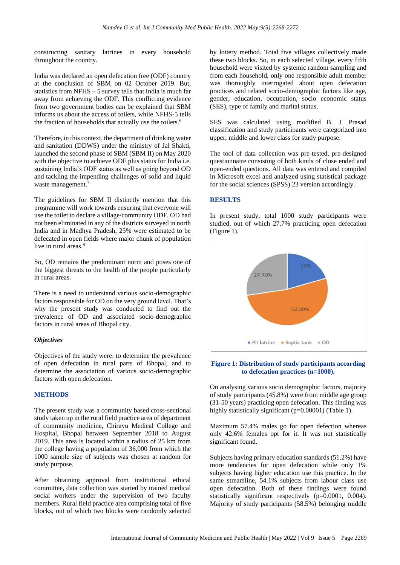constructing sanitary latrines in every household throughout the country.

India was declared an open defecation free (ODF) country at the conclusion of SBM on 02 October 2019. But, statistics from  $NFHS - 5$  survey tells that India is much far away from achieving the ODF. This conflicting evidence from two government bodies can be explained that SBM informs us about the access of toilets, while NFHS-5 tells the fraction of households that actually use the toilets.<sup>6</sup>

Therefore, in this context, the department of drinking water and sanitation (DDWS) under the ministry of Jal Shakti, launched the second phase of SBM (SBM II) on May 2020 with the objective to achieve ODF plus status for India i.e. sustaining India's ODF status as well as going beyond OD and tackling the impending challenges of solid and liquid waste management.<sup>7</sup>

The guidelines for SBM II distinctly mention that this programme will work towards ensuring that everyone will use the toilet to declare a village/community ODF. OD had not been eliminated in any of the districts surveyed in north India and in Madhya Pradesh, 25% were estimated to be defecated in open fields where major chunk of population live in rural areas.<sup>8</sup>

So, OD remains the predominant norm and poses one of the biggest threats to the health of the people particularly in rural areas.

There is a need to understand various socio-demographic factors responsible for OD on the very ground level. That's why the present study was conducted to find out the prevalence of OD and associated socio-demographic factors in rural areas of Bhopal city.

#### *Objectives*

Objectives of the study were: to determine the prevalence of open defecation in rural parts of Bhopal, and to determine the association of various socio-demographic factors with open defecation.

#### **METHODS**

The present study was a community based cross-sectional study taken up in the rural field practice area of department of community medicine, Chirayu Medical College and Hospital, Bhopal between September 2018 to August 2019. This area is located within a radius of 25 km from the college having a population of 36,000 from which the 1000 sample size of subjects was chosen at random for study purpose.

After obtaining approval from institutional ethical committee, data collection was started by trained medical social workers under the supervision of two faculty members. Rural field practice area comprising total of five blocks, out of which two blocks were randomly selected

by lottery method. Total five villages collectively made these two blocks. So, in each selected village, every fifth household were visited by systemic random sampling and from each household, only one responsible adult member was thoroughly interrogated about open defecation practices and related socio-demographic factors like age, gender, education, occupation, socio economic status (SES), type of family and marital status.

SES was calculated using modified B. J. Prasad classification and study participants were categorized into upper, middle and lower class for study purpose.

The tool of data collection was pre-tested, pre-designed questionnaire consisting of both kinds of close ended and open-ended questions. All data was entered and compiled in Microsoft excel and analyzed using statistical package for the social sciences (SPSS) 23 version accordingly.

#### **RESULTS**

In present study, total 1000 study participants were studied, out of which 27.7% practicing open defecation (Figure 1).



#### **Figure 1: Distribution of study participants according to defecation practices (n=1000).**

On analysing various socio demographic factors, majority of study participants (45.8%) were from middle age group (31-50 years) practicing open defecation. This finding was highly statistically significant (p=0.00001) (Table 1).

Maximum 57.4% males go for open defection whereas only 42.6% females opt for it. It was not statistically significant found.

Subjects having primary education standards (51.2%) have more tendencies for open defecation while only 1% subjects having higher education use this practice. In the same streamline, 54.1% subjects from labour class use open defecation. Both of these findings were found statistically significant respectively (p=0.0001, 0.004). Majority of study participants (58.5%) belonging middle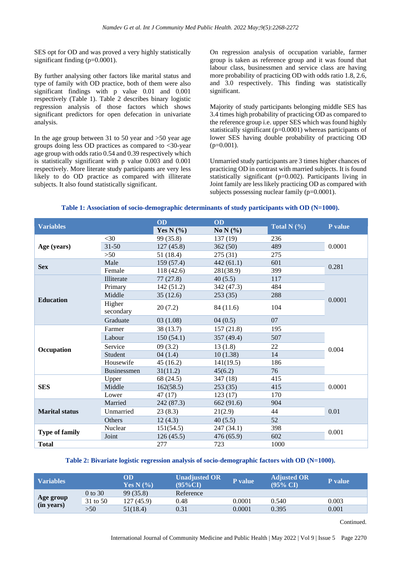SES opt for OD and was proved a very highly statistically significant finding (p=0.0001).

By further analysing other factors like marital status and type of family with OD practice, both of them were also significant findings with p value 0.01 and 0.001 respectively (Table 1). Table 2 describes binary logistic regression analysis of those factors which shows significant predictors for open defecation in univariate analysis.

In the age group between 31 to 50 year and >50 year age groups doing less OD practices as compared to <30-year age group with odds ratio 0.54 and 0.39 respectively which is statistically significant with p value 0.003 and 0.001 respectively. More literate study participants are very less likely to do OD practice as compared with illiterate subjects. It also found statistically significant.

On regression analysis of occupation variable, farmer group is taken as reference group and it was found that labour class, businessmen and service class are having more probability of practicing OD with odds ratio 1.8, 2.6, and 3.0 respectively. This finding was statistically significant.

Majority of study participants belonging middle SES has 3.4 times high probability of practicing OD as compared to the reference group i.e. upper SES which was found highly statistically significant (p=0.0001) whereas participants of lower SES having double probability of practicing OD  $(p=0.001)$ .

Unmarried study participants are 3 times higher chances of practicing OD in contrast with married subjects. It is found statistically significant (p=0.002). Participants living in Joint family are less likely practicing OD as compared with subjects possessing nuclear family (p=0.0001).

#### **Table 1: Association of socio-demographic determinants of study participants with OD (N=1000).**

| <b>Variables</b>      |                     | OD            | OD           |                 |         |  |
|-----------------------|---------------------|---------------|--------------|-----------------|---------|--|
|                       |                     | Yes N $(\% )$ | No N $(\% )$ | Total N $(\% )$ | P value |  |
| Age (years)           | $<$ 30              | 99 (35.8)     | 137(19)      | 236             |         |  |
|                       | $31 - 50$           | 127(45.8)     | 362(50)      | 489             | 0.0001  |  |
|                       | >50                 | 51 (18.4)     | 275 (31)     | 275             |         |  |
| <b>Sex</b>            | Male                | 159 (57.4)    | 442(61.1)    | 601             | 0.281   |  |
|                       | Female              | 118 (42.6)    | 281(38.9)    | 399             |         |  |
|                       | Illiterate          | 77(27.8)      | 40(5.5)      | 117             |         |  |
|                       | Primary             | 142 (51.2)    | 342 (47.3)   | 484             |         |  |
|                       | Middle              | 35(12.6)      | 253(35)      | 288             |         |  |
| <b>Education</b>      | Higher<br>secondary | 20(7.2)       | 84 (11.6)    | 104             | 0.0001  |  |
|                       | Graduate            | 03(1.08)      | 04(0.5)      | 07              |         |  |
|                       | Farmer              | 38 (13.7)     | 157(21.8)    | 195             | 0.004   |  |
|                       | Labour              | 150(54.1)     | 357 (49.4)   | 507             |         |  |
| Occupation            | Service             | 09(3.2)       | 13(1.8)      | 22              |         |  |
|                       | Student             | 04(1.4)       | 10(1.38)     | 14              |         |  |
|                       | Housewife           | 45(16.2)      | 141(19.5)    | 186             |         |  |
|                       | <b>Businessmen</b>  | 31(11.2)      | 45(6.2)      | 76              |         |  |
|                       | Upper               | 68 (24.5)     | 347 (18)     | 415             |         |  |
| <b>SES</b>            | Middle              | 162(58.5)     | 253(35)      | 415             | 0.0001  |  |
|                       | Lower               | 47(17)        | 123(17)      | 170             |         |  |
| <b>Marital status</b> | Married             | 242 (87.3)    | 662 (91.6)   | 904             | 0.01    |  |
|                       | Unmarried           | 23(8.3)       | 21(2.9)      | 44              |         |  |
|                       | Others              | 12(4.3)       | 40(5.5)      | 52              |         |  |
| <b>Type of family</b> | Nuclear             | 151(54.5)     | 247 (34.1)   | 398             | 0.001   |  |
|                       | Joint               | 126(45.5)     | 476 (65.9)   | 602             |         |  |
| <b>Total</b>          |                     | 277           | 723          | 1000            |         |  |

#### **Table 2: Bivariate logistic regression analysis of socio-demographic factors with OD (N=1000).**

| <b>Variables</b>        |           | OD<br>Yes N $(%$ | <b>Unadjusted OR</b><br>$(95\%CI)$ | P value | <b>Adjusted OR</b><br>$(95\% \text{ CI})$ | <b>P</b> value |
|-------------------------|-----------|------------------|------------------------------------|---------|-------------------------------------------|----------------|
| Age group<br>(in years) | $0$ to 30 | 99 (35.8)        | Reference                          |         |                                           |                |
|                         | 31 to 50  | 127(45.9)        | 0.48                               | 0.0001  | 0.540                                     | 0.003          |
|                         | >50       | 51(18.4)         | 0.31                               | 0.0001  | 0.395                                     | 0.001          |

Continued.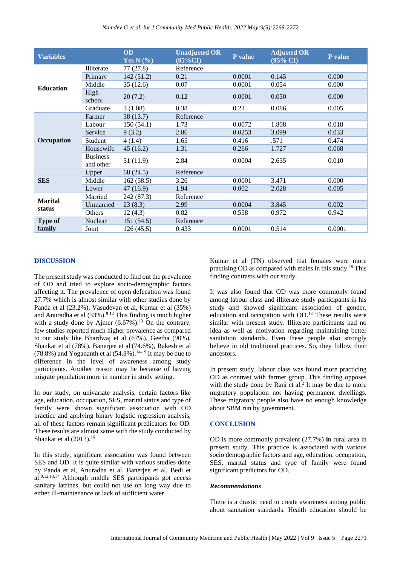| <b>Variables</b>         |                              | <b>OD</b><br>Yes N $(\% )$ | <b>Unadjusted OR</b><br>$(95\%CI)$ | P value | <b>Adjusted OR</b><br>$(95\% \text{ CI})$ | P value |
|--------------------------|------------------------------|----------------------------|------------------------------------|---------|-------------------------------------------|---------|
| <b>Education</b>         | Illiterate                   | 77 (27.8)                  | Reference                          |         |                                           |         |
|                          | Primary                      | 142(51.2)                  | 0.21                               | 0.0001  | 0.145                                     | 0.000   |
|                          | Middle                       | 35(12.6)                   | 0.07                               | 0.0001  | 0.054                                     | 0.000   |
|                          | High<br>school               | 20(7.2)                    | 0.12                               | 0.0001  | 0.050                                     | 0.000   |
|                          | Graduate                     | 3(1.08)                    | 0.38                               | 0.23    | 0.086                                     | 0.005   |
| Occupation               | Farmer                       | 38 (13.7)                  | Reference                          |         |                                           |         |
|                          | Labour                       | 150(54.1)                  | 1.73                               | 0.0072  | 1.808                                     | 0.018   |
|                          | Service                      | 9(3.2)                     | 2.86                               | 0.0253  | 3.099                                     | 0.033   |
|                          | Student                      | 4(1.4)                     | 1.65                               | 0.416   | .571                                      | 0.474   |
|                          | Housewife                    | 45(16.2)                   | 1.31                               | 0.266   | 1.727                                     | 0.068   |
|                          | <b>Business</b><br>and other | 31(11.9)                   | 2.84                               | 0.0004  | 2.635                                     | 0.010   |
| <b>SES</b>               | Upper                        | 68 (24.5)                  | Reference                          |         |                                           |         |
|                          | Middle                       | 162(58.5)                  | 3.26                               | 0.0001  | 3.471                                     | 0.000   |
|                          | Lower                        | 47(16.9)                   | 1.94                               | 0.002   | 2.028                                     | 0.005   |
| <b>Marital</b><br>status | Married                      | 242 (87.3)                 | Reference                          |         |                                           |         |
|                          | Unmarried                    | 23(8.3)                    | 2.99                               | 0.0004  | 3.845                                     | 0.002   |
|                          | <b>Others</b>                | 12(4.3)                    | 0.82                               | 0.558   | 0.972                                     | 0.942   |
| <b>Type of</b><br>family | <b>Nuclear</b>               | 151(54.5)                  | Reference                          |         |                                           |         |
|                          | Joint                        | 126(45.5)                  | 0.433                              | 0.0001  | 0.514                                     | 0.0001  |

#### **DISCUSSION**

The present study was conducted to find out the prevalence of OD and tried to explore socio-demographic factors affecting it. The prevalence of open defecation was found 27.7% which is almost similar with other studies done by Panda et al (23.2%), Vasudevan et al, Kumar et al (35%) and Anuradha et al  $(33\%)$ .<sup>9-12</sup> This finding is much higher with a study done by Ajmer  $(6.67\%)$ .<sup>13</sup> On the contrary, few studies reported much higher prevalence as compared to our study like Bhardwaj et al (67%), Geetha (90%), Shankar et al (78%), Banerjee et al (74.6%), Rakesh et al (78.8%) and Yogananth et al  $(54.8\%)$ .<sup>14-19</sup> It may be due to difference in the level of awareness among study participants. Another reason may be because of having migrate population more in number in study setting.

In our study, on univariate analysis, certain factors like age, education, occupation, SES, marital status and type of family were shown significant association with OD practice and applying binary logistic regression analysis, all of these factors remain significant predicators for OD. These results are almost same with the study conducted by Shankar et al  $(2013).<sup>16</sup>$ 

In this study, significant association was found between SES and OD. It is quite similar with various studies done by Panda et al, Anuradha et al, Banerjee et al, Bedi et al.9,12,13,17 Although middle SES participants got access sanitary latrines, but could not use on long way due to either ill-maintenance or lack of sufficient water.

Kumar et al (TN) observed that females were more practising OD as compared with males in this study.<sup>18</sup> This finding contrasts with our study.

It was also found that OD was more commonly found among labour class and illiterate study participants in his study and showed significant association of gender, education and occupation with OD.<sup>18</sup> These results were similar with present study. Illiterate participants had no idea as well as motivation regarding maintaining better sanitation standards. Even these people also strongly believe in old traditional practices. So, they follow their ancestors.

In present study, labour class was found more practicing OD as contrast with farmer group. This finding opposes with the study done by Rani et al.<sup>2</sup> It may be due to more migratory population not having permanent dwellings. These migratory people also have no enough knowledge about SBM run by government.

#### **CONCLUSION**

OD is more commonly prevalent (27.7%) **i**n rural area in present study. This practice is associated with various socio demographic factors and age, education, occupation, SES, marital status and type of family were found significant predictors for OD.

#### *Recommendations*

There is a drastic need to create awareness among public about sanitation standards. Health education should be